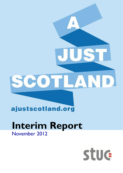# Δ LANDI COT

### ajustscotland.org

## **Interim Report** November 2012

# **Stuc**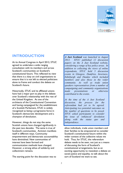

#### **INTRODUCTION**

At its Annual Congress in April 2012, STUC agreed to undertake a wide ranging consultation with its members and across Scotland's communities on Scotland's constitutional future. This reflected its view that there is a duty on civil organisations to ensure that it is not left to elected politicians alone to frame and conduct the debate on Scotland's future.

Historically, STUC and its affiliated unions have had a major part to play in the debate over Scotland's relationship with the rest of the United Kingdom. As one of the architects of the Constitutional Convention and having campaigned for the establishment of a Scottish Parliament, STUC is widely recognised as being a progressive force in Scotland's democratic development and a champion of devolution.

However, things do not stay the same. Scottish unions have changed significantly in the past two decades. The same is true of Scotland's communities. Activism manifests itself in different ways. Community empowerment and democratic accountability have diminished. New communities of interest have been formed and communication methods have changed. However, a strong ethos of solidarity and collectivism remains.

The starting point for the discussion was to

*A Just Scotland was launched in August 2012. STUC published 12 discussion papers on the A Just Scotland website, considering a range of key policy areas. In addition to collecting the views of online respondents, STUC held 5 discussion events in Glasgow, Dumfries, Inverness, Edinburgh and Dundee which included members and also those in the wider community. As well as trade union speakers representatives from a number of campaigning and community organisations made presentations or otherwise contributed to the events.*

*At the time of the A Just Scotland discussion, the process for the referendum had yet to be agreed. Anticipating two potential outcomes on the number of questions to be posed, STUC asked participants to consider the issue of 'enhanced' devolution along with the status quo and independence.*

allow individuals, trade union members and their families to be empowered to consider Scotland's constitutional future within the wider context of the collective values we hold. Thus, for STUC, the referendum debate needs to be seen, not just as a means of discussing the form of Scotland's constitutional arrangements, but as an exciting opportunity to reawaken a debate on social justice and equality, to talk about the sort of Scotland we want to see.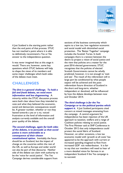

*A Just Scotland* is the starting point rather than the end point of that process. STUC has not reached a point where it is able to definitively recommend a Yes or No answer to the independence question.

It was never imagined that at this stage it would. There are, however, some key questions which STUC believes will help to shape the views of its members and some major challenges which both sides of the debate must meet.

#### **CHALLENGES**

#### *The first is a general challenge. To hold a full and frank debate, we need more information and less sloganeering.*A

minority within the STUC discussion process were both clear about how they intended to vote and what they believed the economic, social and democratic consequences would be. A greater number, whether or not they leaned towards a yes or a no, voiced frustration at the level of information and analysis currently available and the overall poor quality of the debate.

#### *The second challenge, again for both sides of the debate, is to persuade us that social justice is more achievable as a consequence of their chosen*

*constitutional option.*Inevitably the focus should be on Scotland, but the impact of change on the countries within the rest of the UK, as well as Europe and wider world can also be part of that discourse. Neither side of the debate can claim with authority to be the 'voice for social justice'. The Yes Campaign derives considerable support from

sections of the business community which aspire to a low tax, low regulation economic and social model with diminished social protection. The 'Better Together' campaign includes the Scottish Tories. In both campaigns there is a tension between the desire to project a vision of social justice and the view that policies are a matter for the post-2016 elected governments. STUC recognises that the policies of elected Scottish Governments cannot be wholly predicted, however, it is not enough to 'wait and see'. The result of the referendum will in large part be conditioned by what people expect will be achieved and the postreferendum future direction of Scotland in the short and long-term, whether independent or devolved, will be influenced by how the debate develops between now and October 2014.

#### *The third challenge is for the Yes Campaign or to the political parties which*

*support it. A Just Scotland* participants cited concern at mixed messages emanating from the campaign. A central argument for independence has been rejection of the UK approach to taxation, welfare and a range of Coalition policies relating to social justice. The First Minister said at SNP Conference in October 2012 that only independence could protect the social fabric of Scotland. However, on other occasions, a low tax economic model with 'growth at all costs' has appeared to be the approach with current or increased spending imagined to flow from increased GDP not redistribution. It is fair to say that our members will need to hear of a more detailed vision for fairness in an independent Scotland if the Yes campaign is to succeed.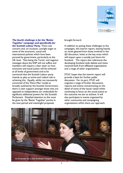

#### *The fourth challenge is for the 'Better Together' campaign and specifically for the Scottish Labour Party.* There was

concern and, on occasion, outright anger at some of the economic, social and international policies which have been pursued by government, particularly at the UK level. 'Not being the Tories' and negative messages about the SNP will not suffice and members will require a clear steer on how economic and social justice will be achieved at all levels of government and to be convinced that the Scottish Labour party intends to play an active and radical role in achieving this. Equally, whilst not necessarily convinced of the 'Devo Max' model as broadly outlined by the Scottish Government, there is clear support amongst those who are opposed to independence (or undecided) for significant additional powers for the Scottish Parliament. Detailed attention to this must be given by the 'Better Together' parties in the next period and meaningful proposals

#### brought forward.

In addition to posing these challenges to the campaigns, this interim report, leaning heavily on views gleaned from those involved in the *AJS* discussion, looks at the key areas which will impact upon a socially just future for Scotland. The report also references the developing Scotland wide debate and views received both from affiliated organisations and a range of other organisations.

STUC hopes that the interim report will provide a basis for further public discussion. For its part, STUC will organise a range of further discussions, reports and events concentrating on the detail of some of the issues raised whilst continuing to focus on the social justice as the outcome we aim to achieve. It will also participate in events organised by other community and campaigning organisations which share our approach.

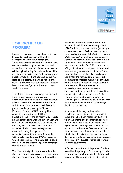

#### **FOR RICHER OR POORER?**

Notice has been served that the debate over Scotland's fiscal position will be a key battleground for the two campaigns. Somewhat surprisingly, few AJS contributors concentrated on arguments that Scotland would become dramatically better or worse off through achieving full independence. This may be due in part to the wildly differing and poorly argued positions adopted by the two sides of the debate. It may also reflect the view that the resource question should focus less on absolute figures and more on how wealth is shared.

The 'Better Together' campaign has focused on an interpretation of the General Expenditure and Revenue in Scotland account (GERS)<sup>1</sup> account which shows both the UK and Scotland to be in deficit with Scottish public spending exceeding its Gross Domestic Product (GDP) by a significant amount – amounting to  $£1200$  per household. Whilst the campaign is correct to point out that comparisons between Scotland and the UK are between relative deficits (to be clear, even if Scotland were independent it would still be borrowing heavily at this moment in time), it singularly fails to recognise that an independent Scotland's GDP would include around 90% of current UK oil tax receipts. The £1200 deficit figure is flawed and the 'Better Together' campaign should not be using it.

The 'Yes campaign' has spent considerable time and resources to convey the impression that post-independence, Scotland would be

better off to the tune of over £1000 per household. Whilst it is true to say that in 2010-2011, Scotland's net deficit (including a geographical share of oil and gas revenues) compared to the rest of the United Kingdom (rUK) was £2.7 billion better, the campaign has failed to clearly point out a) that this is a comparison between deficits rather than surpluses and b) that 2010-2011 was a year of high oil prices and that past and future oil revenues vary considerably. Scotland's net fiscal position within the UK is likely to be healthy for the next couple of years, but most experts predict a falling of oil revenues from the date that Scotland would become independent. There is also some uncertainty over the interest rate an independent Scotland would be charged for its sovereign debt. Therefore, the £1000 figure is not a reliable starting point for calculating the relative fiscal position of Scots post-independence and the Yes campaign should not be using it.

A more sensible analysis draws the conclusion that Scotland's income against expenditure has been reasonably balanced when the effects of a geographical share of North Sea oil are taken into account and higher public spending are factored into the equation<sup>2</sup>. In the future Scotland's relative fiscal position under independence would be initially heavily reliant on the tax revenues derived from oil and gas and, as that resource dwindles, *on the success or otherwise of wider economic development*.

A further factor for an independent Scotland would be the price paid for servicing its debt. As a new nation with no 'credit history' and most probably a comparatively high deficit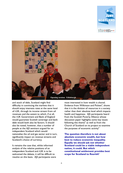



and stock of debt, Scotland might find difficulty in convincing the markets that it should enjoy interests rates at the same level of rUK, through its income stream from oil revenues and the extent to which, if at all, the rUK Government and Bank of England would guarantee Scottish sovereign and bank debt would both also be factors. It should also be noted, however, that a number of people at the AJS seminars argued for an independent Scotland which would nationalise the oil and gas sector and in turn, significantly impact on revenue streams and Scotland's choice of currency.

It remains the case that, whilst informed analysis of the relative positions of an independent Scotland and rUK is to be welcomed the debate, it will be difficult to resolve on this basis. AJS participants were

most interested in how wealth is shared. Evidence from Wilkinson and Pickett<sup>3</sup>, shows that it is the division of resources in a society rather than their absolute level which impacts health and happiness. AJS participants heard from the Scottish Poverty Alliance whose discussion paper highlights some key issues following this theme<sup>4</sup> as well as from the Church of Scotland on its project to examine the purposes of economic activity<sup>5.</sup>

**The question therefore is not about absolute economic wealth, but how best to reduce economic inequality. Equally we should ask not whether Scotland could be a viable independent nation, it could. But which constitutional settlement provides best scope for Scotland to flourish?**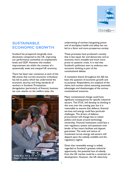

#### **SUSTAINABLE ECONOMIC GROWTH**

Scotland has prospered marginally since devolution compared to the UK, improving our performance somewhat on employment levels and GDP. However this modest improvement sits within the context of a systemically weak and unequal UK economy.

There has been near consensus at each of the AJS events that current economic orthodoxy has led to policy which has undermined the economic security and living standards of workers in Scotland. Privatisation, deregulation (particularly of finance), business tax cuts, attacks on the welfare state, the



**Plenary Debate: Inverness**

undermining of workers bargaining power and of workplace health and safety has not led to a fairer and more prosperous society.

These processes have produced a society that is less equal, fair and democratic and an economy more unstable and much more prone to systemic crises. It is vital that Scotland's politicians start to embrace new economic thinking as part of the constitutional debate.

A consistent theme throughout the AJS has been the question of economic growth and its purpose. Respondents are sceptical of the claims and counter-claims assuming automatic advantages and disadvantages of the various constitutional scenarios.

Major constitutional change could have significant consequences for specific industrial sectors. The STUC will develop its thinking in this area over the coming year but it is reasonable to assume that defence, financial services and energy could face particular challenges. The drivers of defence procurement will change due to naked politics and issues around technology ownership. Financial institutions could face a new regulatory system and questions over lender of last resort facilities and deposit guarantees. The scale and nature of investment across energy sub-sectors will depend upon the subsidy available and the regulatory regime.

Given that renewable energy is widely regarded as Scotland's greatest industrial opportunity, the potential loss of subsidy from the UK market could be a constraint on Willie Bain MP & Cllr Drew Hendry **Matter Collection** development. However, the UK electricity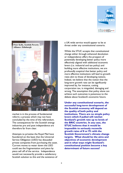



market is in the process of fundamental reform; a process which may not have concluded by the time of the referendum. The consequences for the Scottish energy industries pre and post independence are therefore far from clear.

Attempts to privatise the Royal Mail have foundered on the basis that the Universal Service Obligation (USO) has dissuaded private companies from purchasing the asset. Current moves to water down the USO could see the fragmentation and piece by piece sell off of the service. Independence would not necessarily provide a satisfactory Scottish solution to this and the existence of

a UK-wide service would appear to be at threat under any constitutional scenario.

Whilst the STUC accepts that constitutional change either through enhanced devolution or independence offers the prospect of potentially developing better policy more effectively aligned with additional economic levers (i.e. industrial and tax policy) and building more effective institutions, we are profoundly sceptical that better policy and more effective institutions will lead to growth rates akin to those of developing nations. Indeed, we believe that the notion that the long-term growth rate can be significantly improved by, for instance, cutting corporation tax, is misguided, damaging and wrong. The assumption that policy alone can achieve such outcomes is poisonous to the debate about Scotland's economic future.

**Under any constitutional scenario, the successful long-term development of the Scottish economy will depend on the quality of both policy and institutions. There are no simple policy levers which if pulled will ratchet Scotland's growth rate up to levels of the BRIC countries. In any case, the STUC believes that it would be impossible to seriously reconcile growth rates of 8 or 9% with the Scottish Government's climate change targets. What should be the aims and objectives of economic development and in what ways might Scotland's constitutional position become a key determinant of future success?**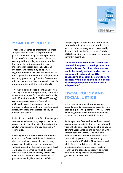

#### **MONETARY POLICY**

There was a degree of uncertainty amongst AJS participants over the implications of proposals for currency post-independence. In terms of the three options available, noone argued for a policy of adopting the Euro. For some the optimum solution is an independent Scottish currency allowing monetary and fiscal policy to operate together, however this was not examined in depth given that the version of independence currently promoted by Scottish Government ministers would see Scotland remain part of a monetary union with the rest of the rUK.

This would entail Scotland continuing to use Sterling, the Bank of England (BoE) continuing to set interest rates for the whole of the UK, and UK institutions (BoE, FSA and Treasury) continuing to regulate the financial sector on a UK wide basis. These arrangements will inevitably include some kind of fiscal compact limiting the independent state's ability to borrow and spend.

It should be noted that the First Minister (and some others) has recently argued that such arrangements would be fairly loose given the similar productivity of the Scottish and UK economies.

Learning from the recent crisis and ongoing events in the Eurozone it is hardly feasible that the dominant partner in the currency union would facilitate such arrangements without stipulating the smaller partner's fiscal envelope. The degree to which Scottish Ministers would have flexibility within that envelope to develop radically different tax policies is also highly uncertain. Whilst

recognising that this is but one model of an independent Scotland it is the one that has to be taken most seriously as it is proposed by the current Scottish Government. And the STUC has major concerns over the model as currently described.

**An unavoidable conclusion is that the successful long-term development of a sustainable and fair Scottish economy would be heavily reliant on the macroeconomic direction of the UK irrespective of Scotland's constitutional position. Would Scotland be in a better or worse position to influence this if independent?**

#### **FISCAL POLICY AND SOCIAL JUSTICE**

In the context of opposition to wrongheaded austerity measures, participants were keen to explore the potential for fiscal levers which might be available to an independent Scotland or under enhanced devolution.

An independent Scotland would be expected to assume responsibility for its own debt and within the limits of prudence be able to adopt different approaches to challenges such as the current economic crisis. The two main political parties in Scotland have both made clear their opposition to the austerity approach of the Coalition Government, and whilst future conditions are difficult to predict it can be assumed that in certain scenarios, the capacity to borrow to invest would be a likely feature of progressive governance in Scotland.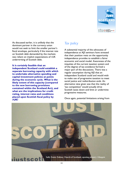

As discussed earlier, it is unlikely that the dominant partner in the currency union would not seek to limit the smaller partner's fiscal envelope, particularly if the interest rate on Scottish debt demanded by the markets was reliant on implicit expectations of rUK underwriting of Scottish debt.

**It is certainly feasible that an independent Scotland could establish a separate borrowing capacity with which to undertake alternative spending and capital investment policies at points during the economic cycle. What is the likely extent of this capacity (compared to the new borrowing provisions contained within the Scotland Act), and what are the implications for credit rating, interest rates and conditions placed upon Scottish fiscal policy by rUK?**

#### *Tax policy*

A substantial majority of the advocates of independence at AJS seminars have stressed that their position rests on the opportunity independence provides to establish a fairer economic and social model. Awareness of the iniquities of the current taxation system and of the degree of tax avoidance formed a major part of the discussions. There was a regular assumption during AJS that an independent Scotland could and would wish to make use of progressive taxation to meet social justice and redistribution ends. An alternative view given was that the reality of 'tax competition' would actually drive Scottish taxes down and limit or undermine progressive measures.

Once again, potential limitations arising from

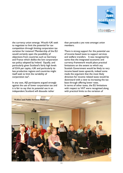

the currency union emerge. Would rUK seek to negotiate to limit the potential for tax competition through limiting corporation tax variation for instance? Membership of the EU would certainly open the possibility of objections from countries such as Germany and France which dislike the low corporation tax policy adopted by Ireland. Equally, and particularly given Scotland's fairly high levels of GVA per capita, rUK and particularly its less productive regions and countries might itself seek to limit the variability of corporation tax<sup>6</sup>.

In any case, AJS participants argued strongly against the use of lower corporation tax and it is fair to say that its potential use in an independent Scotland will dissuade rather

than persuade a yes vote amongst union members.

There is strong support for the potential use of income based taxes to support services and welfare transfers. It was recognised by some that the integrated economic and currency framework would place practical limitations on the extent to which any Scottish Government would be likely to vary income based taxes upwards, indeed some made the argument that the most likely direction for income related taxes would be downward with a view to increasing the tax base through offering lower rates. In terms of other taxes, the EU limitations with respect to VAT were recognised along with practical limits to the variation of

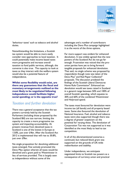

'behaviour taxes' such as tobacco and alcohol duties.

Notwithstanding the limitations, a Scottish tax system would be able to more easily consider new approaches to local taxation. It could potentially make income based taxes more progressive and increase overall taxation to fund public services, although, the converse is also true. The capacity to look at taxes as they interact with the welfare system would also be a potential feature of independence.

**Whilst some flexibility would exist, are there any guarantees that the fiscal and monetary arrangements outlined as the most likely to be negotiated following independence would facilitate higher social spending; or is the opposite true?** 

#### *Taxation and further devolution*

There was a general acceptance that the tax powers currently held by the Scottish Parliament (including those proposed by the Scotland Bill) are too narrow, limiting the capacity to create a more progressive tax system and impacting accountability. At present revenue from devolved taxes in Scotland is one of the lowest in Europe at 13.8%, just over £4bn. After the Scotland Act 2012 is implemented that will rise to 30.8%, just over £9bn.

No single proposition for devolving additional taxes emerged. Few actively promoted the Devo Max option wherein all taxes would be devolved and a grant paid to Westminster in lieu of services provided. This is largely seen as independence without some of the

advantages and a number of contributors including the Devo Plus campaign highlighted it as the worst of the three options.

Far more support was evident for enhanced devolution. It was widely agreed that the new powers of the Scotland Act do not go far enough. Frustration was voiced that the prounion parties have yet to bring forward tangible proposals for enhanced devolution. That said, no single scheme was proposed by respondents though note was taken of the Devo Plus<sup>7</sup> and Red Paper Collective<sup>8</sup> proposals. The discussion predated the findings of the Scottish Liberal Democrat Home Rule Commission<sup>9</sup>. Enhanced tax devolution would see taxes raised in Scotland in a general range between 50% and 100% of overall Scottish spending, which equates to 30% and 60% of the combined Westminster and Holyrood spend.

The taxes most favoured for devolution were income tax (all bands) and all property based taxes. Some also favoured the devolution of National Insurance. Fuel, alcohol and tobacco taxes were also supported though there was a degree of greater scepticism on the potential for varying these. The devolution of Corporation Tax was not supported as it was identified as the most likely to lead to tax competition.

In all of the aforementioned scenarios a continued, but reduced block grant was supported on the grounds of UK-wide redistribution and stability.

Under independence, we anticipate negotiated limits to Scottish tax powers as a consequence of currency union and practical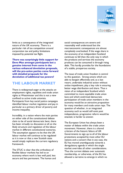

limits as a consequence of the integrated nature of the UK economy. There is a particular risk of tax competition around corporation tax and policy limitations imposed by potential tax flight.

**There was surprisingly little support for Devo Max amongst participants but a genuine interest from some in the various enhanced devolution proposals, will the pro-union parties come forward with detailed proposals for the devolution of additional tax powers?**

#### **THE LABOUR MARKET**

There is widespread anger at the attacks on employment rights, equalities and trade union rights at Westminster and this is not a view confined to active trade unionists. Participants from key social justice campaigns identified labour market regulation and pay in particular as a primary driver of poverty and income inequality.

Incredibly, in a nation where the main parties on either side of the constitutional debate claim to be of social democratic bent, there has been virtually no discussion at all on the likely structure and regulation of the labour market in different constitutional scenarios. The assumption appears to be that the UK labour market will continue to be regulated as it is now or that a new Scottish state would simply replicate the current regulatory framework.

The STUC is clear that the orthodoxy of flexible labour markets has led to an economy where work is less well paid, less secure and less permanent. The human and social consequences are severe and reasonably well understood but the macroeconomic consequences are almost completely overlooked. If the wage share in the economy of an independent Scotland continues to fall then the only way in which the products and services the economy produces can be consumed is through rising debt. This hardly provides for the foundations of a stable, prosperous society.

The issue of trade union freedom is central to this question. Strong unions which are able to bargain effectively and, as a last resort, undertake industrial action without undue impediment, play a key role in ensuring better wage distribution and share. Thus a vision of an independent Scotland which committed to more equitable trade union laws and which enshrined democratic participation of trade union members in the economy would be an attractive proposition for many members and trade union reps. The question of whether, in an integrated economy such as would still exist post independence, progressive reform would be enacted, is harder to answer.

The European Union has always been a matter of debate within the trade union movement. However, there is a shared criticism of the historic failure of UK Governments to sign up to all of the labour protections accepted by most other EU nations and a concern that in any case, the EU has moved unambiguously towards a deregulatory agenda in which the single market overrides all other considerations. Thus the current debate over automatic membership, or otherwise, of the EU has allowed a narrative to emerge in which no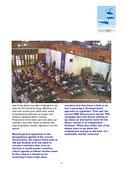



side of the debate has been challenged to say what the EU should be doing differently and how each would work within their stated constitutional preference to protect and enhance regulated labour markets. Proponents of the status quo have given our members very little reason to believe that improving labour market regulation is on the agenda.

**Beyond general opposition to the deregulatory agenda of the current Government, the Labour Party both at UK and Scottish level has failed to convince members that, even on election, it would pursue a positive reform agenda on labour market issues. In this context it should not be surprising if many trade union** 

**members feel that there is little to be lost in pursuing a 'Scotland alone' approach to regulation. That said, the current SNP Government and the YES campaign have had almost nothing to say about an alternative vision for the labour market in an independent Scotland. What does either side of the debate have to say about fair employment and pay as the basis of a sustainable and fair economy?**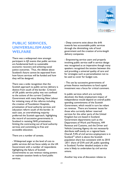

#### **PUBLIC SERVICES, UNIVERSALISM AND WELFARE**

There was a widespread view amongst participant in *AJS* events that public services are fundamental both to sustainable economic recovery and achieving social justice outcomes. Thus, the debate about Scotland's future cannot be separated from how future services will be funded and how they will be designed.

There was a wide recognition that the Scottish approach to public service delivery is distinct from south of the border. Criticism of UK public service policy was not confined to the actions of the current Coalition Government with many blaming New Labour for initiating many of the reforms including the creation of Foundation Hospitals, privatisation of local authority services and education reform south of the border. In each case, an overwhelming majority preferred the Scottish approach, highlighting the record of successive governments in Scotland in resisting NHS privatisation, limiting the contracting out of local authority services and committing to free and accessible education.

There are a number of caveats.

- Widespread anger at the level of cuts to public services did not focus solely on the UK Government with a number of respondents highlighting the failure of Scottish Governments to use revenue raising powers or maintain taxation levels to fund public services.

- Deep concerns exist about the drift towards less accountable public services through the diminishing role of local government and the creation of arms-length delivery companies.

- Empowering service users and properly involving public service staff in service design was recognised as an imperative though many speakers recognised the tension between this and providing a universal quality of care and for strategies such as personalisation not to be used as cover for budget cuts.

- The use by successive governments of private finance mechanisms to fund capital investment was a focus for critical comment.

In public services which are currently devolved, the likely employment impact of independence would depend on overall public spending commitments of the Scottish Government, which would in turn be reliant on revenue. There are however issues for those who currently deliver reserved services for the other parts of the United Kingdom but are based in Scotland. Government departments such as the Department of Work and Pensions, HM Revenue and Customs, and the [Driver and](http://www.dft.gov.uk/dvla/)  [Vehicle Licensing Agency](http://www.dft.gov.uk/dvla/) do not necessarily distribute staff evenly on a regional basis. Overall, 9.4% of civil service employment is in Scotland<sup>10</sup> which is above the Scottish population share but consistent with its 2010 -2011 share of GVA and UK public spending in Scotland. Further detailed analysis in this area is likely to undertaken by civil service unions.

Another key area of discussion relates to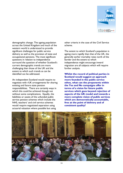

demographic change. The ageing population across the United Kingdom and much of the western world is understood to provide significant challenges for public service delivery as well as the provision of state and occupational pensions. The most significant questions in relation to independence surround the question of whether Scotland's current demographic trends are more challenging than those of the UK and the extent to which such trends as can be identified can be addressed.

An independent Scotland would require to negotiate with rUK arrangements for sharing existing and future state pension responsibilities. There are certainly ways in which this could be achieved though not without some complications. Equally, the liabilities or assets of the unfunded public service pension schemes which include the NHS, teachers' and civil service schemes would require negotiated separation using actuarial valuation where possible but using

other criteria in the case of the Civil Service scheme.

The extent to which Scotland's population is ageing more rapidly than that of the UK, the generally earlier mortality rates north of the border and the extent to which independence might encourage inward migration are all subjects which will require further analysis.

**Whilst the record of political parties in Scotland would suggest an approach more founded in the public service ethos, what can the proponents within the Yes and No campaigns offer in terms of a vision for future public services which goes beyond rejection of aspects of the UK model and towards a more complete vision of public services which are democratically accountable, free at the point of delivery and of consistent quality?**

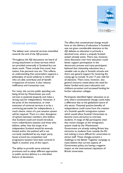

#### *Universal services*

The debate over universal services intensified towards the end of the AJS process.

Throughout the AJS discussions we heard of strong attachment to those services which are provided universally in Scotland but not down south. These include free travel, free tuition, free personal care etc. This reflects an understanding that universalism supports a philosophy of social solidarity in which all who are able contribute and all benefit irrespective of income. It also reduces inefficiency and transaction cost.

For many, the current public spending cuts being driven by Westminster put such services in potential jeopardy and make a strong case for independence. However, if the prize of the maintenance, or even extension of universal services is to be a convincing persuader for independence, a much clearer vision of a just taxation system will be required. There is a clear divergence of opinion between members who believe that Scotland could and would introduce more redistributive taxation and those who believe, either that the scope of an independent Scotland would be severely limited and/or the political will is not currently manifested by any major party. Issues around tax competition and progressive taxation have been covered in depth in another area of this report.

The ability to provide some universal provisions and to adopt different approaches to public service delivery is a cherished feature of devolution.

The effect that constitutional change would have on the delivery of education in Scotland was not given considerable attention at the AJS debates as education is primarily a devolved area, where a uniquely Scottish system already exists. There was, however, some discussion over how education could better support participation in the democratic process and many participants believed that citizenship education has a valuable role to play in Scottish schools and there was general support for lowering the voting age to include 16 and 17 year olds for all elections. There were, however, also general concerns raised about the need for better funded early years education and childcare provision and increased funding for further education colleges.

Participants identified higher education as an area where constitutional change could make a difference due to the globalised nature of this sector. Potential positive benefits of independence could come from the creation of a Scottish specific immigration system which would allow Scottish Universities to become more attractive to overseas students. A range of AJS participants cited that recent changes to the immigration system made by the Westminster Government are already making Britain less attractive to students from outside the EU and making it more difficult for universities to attract staff. These changes present a challenge to the Better Together campaign as many believe that current aspects of Government policy are having a negative impact on the international reputation of British universities.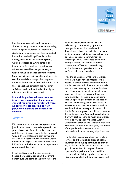

Equally, however, independence would almost certainly create a short term funding crisis in higher education in Scotland. RUK students, who currently pay fees to Scottish institutions and add significantly to the funding available in the Scottish system, would be classed as EU students in an independent Scotland and therefore no tuition fees could be charged as long as tuition remained free for Scottish students. Some participants felt that this funding crisis could potentially endanger the long term future of free tuition in Scotland, and felt that the Yes Scotland campaign had not given sufficient detail on how funding for higher education would be maintained.

**Maintaining universal provisions and improving the quality of services in general requires a commitment from all parties to use existing or new powers to increase tax revenues if required.** 

#### *Welfare*

Discussions about the welfare system at A Just Scotland events have taken place in the general context of cuts in welfare payments and the specific move towards the Universal Credit. In straightforward cash terms, the creation of a Scottish welfare system would be by far the largest shift in resources from UK to Scotland whether under independence or enhanced devolution.

In political terms both major parties in Scotland are openly opposing the current benefit cuts and some of the features of the

new Universal Credit system. This was reflected by overwhelming opposition amongst those involved in the AJS discussions. Labour was criticised by many for its own approach to welfare reform and its refusal to signal a commitment to reversing all cuts. Differences of opinion emerged around the extent to which assumptions of Scottish people having a markedly more progressive attitude to welfare could be substantiated.

Thus the question of what sort of welfare system we might have is integral to the debate. A better welfare system would be simpler to claim and administer, would rely less on means testing and remove barriers and disincentives to work but would also move away from the extreme focus on conditionality. This would come at some cost. Long term predictions of the cost of welfare are difficult given its sensitivity to employment and inactivity levels as well as health and wider demographic factors. A simple if crude approach would be to assume that an independent Scotland would wish, at the very least to spend as much on a welfare system as was spent by the last Labour Government prior to the Coalition cuts. This would be around £2 billion a year, around 4% of the predicted tax revenue of an independent Scotland - a very significant sum.

The legislative separation between welfare services and the devolved areas of health, education and housing continues to provide major challenges for supporters of the status quo. Irrespective of critiques of some aspects of the policy, the 'employability' agenda seeks to bring together the various interventions which will improve access and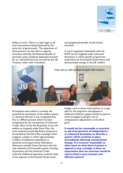

ability to work. There is a clear logic to all such interventions being fashioned by the same tier of government. The separation of these powers can also lead to negative incentives whereby the financial benefits of particular policy initiatives fashioned and paid for at a devolved level are accrued by the UK Treasury rather than in Scotland.

and passported benefits would remain devolved.

A more integrated relationship with the DWP can be imagined under enhanced devolution in which specific programmes undertaken by the Scottish Government with demonstrable savings to the UK welfare



Participants were asked to consider the potential for devolution of the welfare system or elements thereof. It was recognised that this is a difficult process which has been complicated by the introduction of Universal Credit. Short of the full devolution of tax and welfare as imagined under Devo Max, the most coherent partial devolution proposal is forwarded by the Devo Plus campaign which imagines a system in which approximately £1billion of additional expenditure is devolved covering primarily Attendance Allowance and Job Centre Services with the main elements of the benefit system including all pensions and the Universal Credit reserved. Additional payments could be made at the expense of the Scottish Government

budget, such as direct interventions to create jobs for the long-term unemployed or additional childcare support linked to back-to work strategies could give rise to compensatory adjustments to the block grant.

**It would not be reasonable or practical to ask of proponents of independence or enhanced devolution to describe a system which would be in place immediately following constitutional change. It is however reasonable to elicit views on what kind of system is aspired to and, crucially, is there an expectation that tax increases would be used to fund a more humane and effective system?**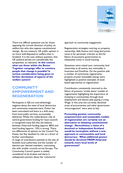

There are difficult questions too for those opposing the current direction of policy on welfare but who also oppose constitutional change. By any measure, UK public opinion is no more well-disposed to welfare than in Scotland. It is the case without question, that UK political parties are considerably less sympathetic to claimants. **In this context what can those within the Better Together campaign offer to convince people that change is possible? Is serious consideration being given to further devolution of aspects of the welfare system?**

#### **COMMUNITY EMPOWERMENT AND REGENERATION**

Participants in AJS are overwhelmingly negative about the state of local democracy and community empowerment. Power has been centralised and there is a drift away from local public services, accountably delivered. Whilst the redistributive role of central government funding for local councils is recognised many felt that the balance between Holyrood funding (approx. 80%) and local funding (approx. 15%) is wrong. There are differences of opinion on the Council Tax freeze, but few doubted its role as a driver of further centralisation.

A range of contributors pointed to the size of Scottish local authorities and the number of electors per elected members, contrasting this with smaller councils across Europe. The Community Council system is widely considered to be broken and there is widespread cynicism about the 'voluntarist'

approach to community engagement.

Regeneration strategies centring on property ownership, debt finance and rising land prices came in for particular criticism as did the failure of successive governments to adequately invest in social housing.

Questions were raised over community land ownership at all events, but noticeably in Inverness and Dumfries. On the positive side a number of community regeneration projects around renewable energy were highlighted as positive examples of asset based approaches to regeneration.

Contributors consistently returned to the failure of previous 'trickle down' models of regeneration highlighting the importance of investing in communities through local employment and decent jobs paying a Living Wage. In this area the currently devolved areas of procurement and other government 'encouragement' were seen as key.

**Promoting genuine community empowerment and sustainable models of regeneration are certainly not an alternative to debating constitutional change. Nevertheless a vision of a devolved or independent Scotland would be incomplete without a new approach to communities and local democracy. What additional powers should be devolved FROM Holyrood towards more local levels of government?**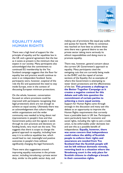

#### **EQUALITY AND HUMAN RIGHTS**

There was a high level of support for the principle of equality and for equalities law in the UK and a general agreement that the law as it exists at present is the minimum that we expect in our society. Many participants also acknowledged that the commitment to continued EU membership by the Yes Scotland campaign suggests that the floor for equality law and practice would continue to exist in an independent Scotland. Some participants were, however, sceptical of the role the EU and questioned the need to stay inside Europe, even in the context of discussing European minimum protections.

On the whole, however, conversation focused on where provisions could be improved with participants recognising that legal protections alone are not enough to achieve an equal society. Ultimately there was an acknowledgement that culture change within organisations and the wider community was needed to bring about real improvements in people's lives and that Government policy and the signals it sends through its own practices and decisions on funding levels, very much set the tone. This suggests that there is scope to change the general approach to equality, including how easy it is to enforce equalities law, which would lead to real, meaningful and positive outcomes in people's lives without significantly changing the legal framework.

There were also suggestions around improving equality outcomes in the private sector, including introducing a private sector duty, similar to the public sector duty, and

making use of provisions like equal pay audits and quotas for boards. While no consensus was reached on how best to achieve these aims there was a general desire to see the private sector taking more seriously its ethical responsibilities and doing more to promote equality.

There was, however, general concern about the current UK Government's approach to equality. Many participants cited the swingeing cuts that are currently being made to the EHRC and the repeal of certain sections of the Equality Act as examples of where this Government is attempting to water down protections and the effectiveness of the law. **This presents a challenge to the Better Together Campaign as it creates a negative context for this debate and calls into question the commitment of certain parties to achieving a more equal society.**

Support for Human Rights came through strongly in the discussion and many saw this debate as an opportunity to improve the Human Rights requirements that currently have a justiciable basis in UK law. Participants were particularly keen for economic and social rights, including the right to join a trade union, to be enforceable under domestic law and saw this as a possible benefit of independence. **Equally, however, there was some concern that independence could reduce the ability of Scottish people to enforce their rights and assurances are needed from Yes Scotland that the Scottish people will not be left without domestic remedy, reverting back to a situation where the Strasbourg court is the only place for Scottish citizens to challenge a breach in their convention rights.**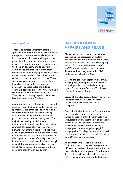

#### *Immigration*

There was general agreement that the approach taken by the British Government to immigration policy is extremely negative. Participants felt that recent changes to the points based system, including the move to place a cap on migration, were detrimental to the Scottish economy and to Scottish communities and that the Westminster Government tended to play on the legitimate insecurities of workers about their jobs in order to score cheap political points. There was also a general concern that the limited flexibility that existed in the system previously, to account for the different economic contexts across the UK, was being stripped back by the Government in Westminster, creating a system that is even less likely to work for Scotland.

Asylum seekers and refugees were repeatedly cited as groups that suffer under the current approach. Child detention, dawn raids and the forced destitution of asylum seeking families were all highlighted as shameful practices that mar the current system. The majority of participants felt that an independent Scotland would almost certainly approach the issue of asylum in a more humane way, offering dignity to those who have sought sanctuary in our country. There was a clear desire to hear a commitment at this stage from the Yes Campaign that an independent Scotland would restore the right to work for asylum seekers, allowing them the ability to support themselves and begin rebuilding their lives in this country.

#### **INTERNATIONAL AFFAIRS AND PEACE**

AJS participants were almost unanimously opposed to the possession of nuclear weapons and the UK's involvement in wars such as Iraq. Equally, there was scarcely any support for continued membership of NATO, a position which has now been debated and narrowly defeated at SNP conference in October 2012.

Despite the generally negative view of UK foreign policy, many pointed out that the Scottish people's part in the British fight against fascism in the Second World War remained a matter of pride.

Critics of the UK's current foreign policy role and possession of Weapons of Mass Destruction were broadly in three categories.

'Break the British State' was a frequent theme and is associated with the views of a particular section of the Scottish Left. This articulates the view that the act of 'breaking Britain' will have significant international implications and serve to undermine rUK foreign policy in so doing damaging US foreign policy. This is presented as a general case although the forced removal of Trident from UK shores is a key factor.

An alternative view sees the removal of Trident as a good thing to campaign for on a UK basis but without the enthusiasm for the 'break the British State position'. In this view, there is little evidence that rUK as part of NATO would play a significantly diminished